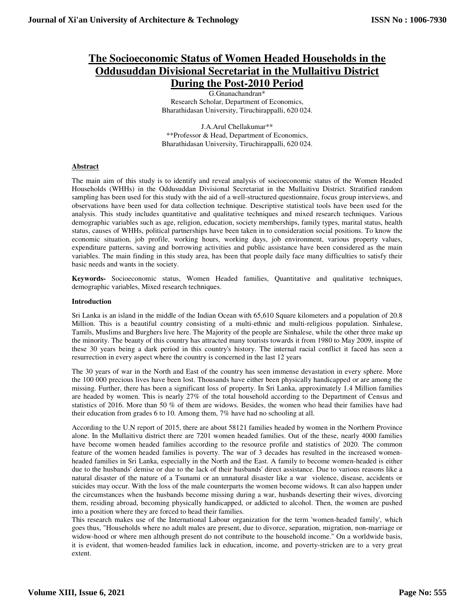# **The Socioeconomic Status of Women Headed Households in the Oddusuddan Divisional Secretariat in the Mullaitivu District During the Post-2010 Period**

G.Gnanachandran\* Research Scholar, Department of Economics, Bharathidasan University, Tiruchirappalli, 620 024.

J.A.Arul Chellakumar\*\* \*\*Professor & Head, Department of Economics, Bharathidasan University, Tiruchirappalli, 620 024.

# **Abstract**

The main aim of this study is to identify and reveal analysis of socioeconomic status of the Women Headed Households (WHHs) in the Oddusuddan Divisional Secretariat in the Mullaitivu District. Stratified random sampling has been used for this study with the aid of a well-structured questionnaire, focus group interviews, and observations have been used for data collection technique. Descriptive statistical tools have been used for the analysis. This study includes quantitative and qualitative techniques and mixed research techniques. Various demographic variables such as age, religion, education, society memberships, family types, marital status, health status, causes of WHHs, political partnerships have been taken in to consideration social positions. To know the economic situation, job profile, working hours, working days, job environment, various property values, expenditure patterns, saving and borrowing activities and public assistance have been considered as the main variables. The main finding in this study area, has been that people daily face many difficulties to satisfy their basic needs and wants in the society.

**Keywords-** Socioeconomic status, Women Headed families, Quantitative and qualitative techniques, demographic variables, Mixed research techniques.

# **Introduction**

Sri Lanka is an island in the middle of the Indian Ocean with 65,610 Square kilometers and a population of 20.8 Million. This is a beautiful country consisting of a multi-ethnic and multi-religious population. Sinhalese, Tamils, Muslims and Burghers live here. The Majority of the people are Sinhalese, while the other three make up the minority. The beauty of this country has attracted many tourists towards it from 1980 to May 2009, inspite of these 30 years being a dark period in this country's history. The internal racial conflict it faced has seen a resurrection in every aspect where the country is concerned in the last 12 years

The 30 years of war in the North and East of the country has seen immense devastation in every sphere. More the 100 000 precious lives have been lost. Thousands have either been physically handicapped or are among the missing. Further, there has been a significant loss of property. In Sri Lanka, approximately 1.4 Million families are headed by women. This is nearly 27% of the total household according to the Department of Census and statistics of 2016. More than 50 % of them are widows. Besides, the women who head their families have had their education from grades 6 to 10. Among them, 7% have had no schooling at all.

According to the U.N report of 2015, there are about 58121 families headed by women in the Northern Province alone. In the Mullaitivu district there are 7201 women headed families. Out of the these, nearly 4000 families have become women headed families according to the resource profile and statistics of 2020. The common feature of the women headed families is poverty. The war of 3 decades has resulted in the increased womenheaded families in Sri Lanka, especially in the North and the East. A family to become women-headed is either due to the husbands' demise or due to the lack of their husbands' direct assistance. Due to various reasons like a natural disaster of the nature of a Tsunami or an unnatural disaster like a war violence, disease, accidents or suicides may occur. With the loss of the male counterparts the women become widows. It can also happen under the circumstances when the husbands become missing during a war, husbands deserting their wives, divorcing them, residing abroad, becoming physically handicapped, or addicted to alcohol. Then, the women are pushed into a position where they are forced to head their families.

This research makes use of the International Labour organization for the term 'women-headed family', which goes thus, "Households where no adult males are present, due to divorce, separation, migration, non-marriage or widow-hood or where men although present do not contribute to the household income." On a worldwide basis, it is evident, that women-headed families lack in education, income, and poverty-stricken are to a very great extent.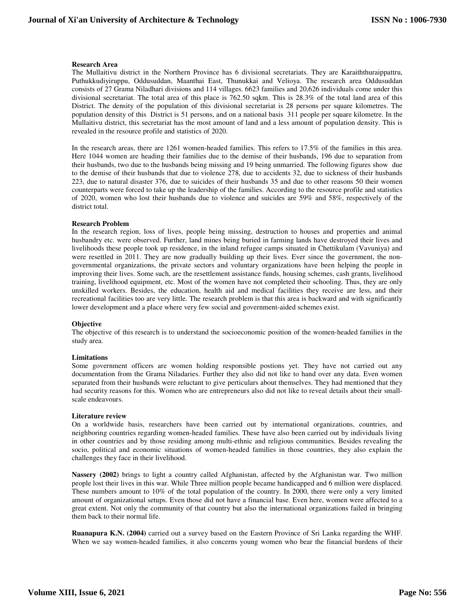# **Research Area**

The Mullaitivu district in the Northern Province has 6 divisional secretariats. They are Karaiththuraippattru, Puthukkudiyiruppu, Oddusuddan, Maanthai East, Thunukkai and Velioya. The research area Oddusuddan consists of 27 Grama Niladhari divisions and 114 villages. 6623 families and 20,626 individuals come under this divisional secretariat. The total area of this place is 762.50 sqkm. This is 28.3% of the total land area of this District. The density of the population of this divisional secretariat is 28 persons per square kilometres. The population density of this District is 51 persons, and on a national basis 311 people per square kilometre. In the Mullaitivu district, this secretariat has the most amount of land and a less amount of population density. This is revealed in the resource profile and statistics of 2020.

In the research areas, there are 1261 women-headed families. This refers to 17.5% of the families in this area. Here 1044 women are heading their families due to the demise of their husbands, 196 due to separation from their husbands, two due to the husbands being missing and 19 being unmarried. The following figures show due to the demise of their husbands that due to violence 278, due to accidents 32, due to sickness of their husbands 223, due to natural disaster 376, due to suicides of their husbands 35 and due to other reasons 50 their women counterparts were forced to take up the leadership of the families. According to the resource profile and statistics of 2020, women who lost their husbands due to violence and suicides are 59% and 58%, respectively of the district total.

#### **Research Problem**

In the research region, loss of lives, people being missing, destruction to houses and properties and animal husbandry etc. were observed. Further, land mines being buried in farming lands have destroyed their lives and livelihoods these people took up residence, in the inland refugee camps situated in Chettikulam (Vavuniya) and were resettled in 2011. They are now gradually building up their lives. Ever since the government, the nongovernmental organizations, the private sectors and voluntary organizations have been helping the people in improving their lives. Some such, are the resettlement assistance funds, housing schemes, cash grants, livelihood training, livelihood equipment, etc. Most of the women have not completed their schooling. Thus, they are only unskilled workers. Besides, the education, health aid and medical facilities they receive are less, and their recreational facilities too are very little. The research problem is that this area is backward and with significantly lower development and a place where very few social and government-aided schemes exist.

#### **Objective**

The objective of this research is to understand the socioeconomic position of the women-headed families in the study area.

#### **Limitations**

Some government officers are women holding responsible postions yet. They have not carried out any documentation from the Grama Niladaries. Further they also did not like to hand over any data. Even women separated from their husbands were reluctant to give perticulars about themselves. They had mentioned that they had security reasons for this. Women who are entrepreneurs also did not like to reveal details about their smallscale endeavours.

#### **Literature review**

On a worldwide basis, researchers have been carried out by international organizations, countries, and neighboring countries regarding women-headed families. These have also been carried out by individuals living in other countries and by those residing among multi-ethnic and religious communities. Besides revealing the socio, political and economic situations of women-headed families in those countries, they also explain the challenges they face in their livelihood.

**Nassery (2002)** brings to light a country called Afghanistan, affected by the Afghanistan war. Two million people lost their lives in this war. While Three million people became handicapped and 6 million were displaced. These numbers amount to 10% of the total population of the country. In 2000, there were only a very limited amount of organizational setups. Even those did not have a financial base. Even here, women were affected to a great extent. Not only the community of that country but also the international organizations failed in bringing them back to their normal life.

**Ruanapura K.N. (2004)** carried out a survey based on the Eastern Province of Sri Lanka regarding the WHF. When we say women-headed families, it also concerns young women who bear the financial burdens of their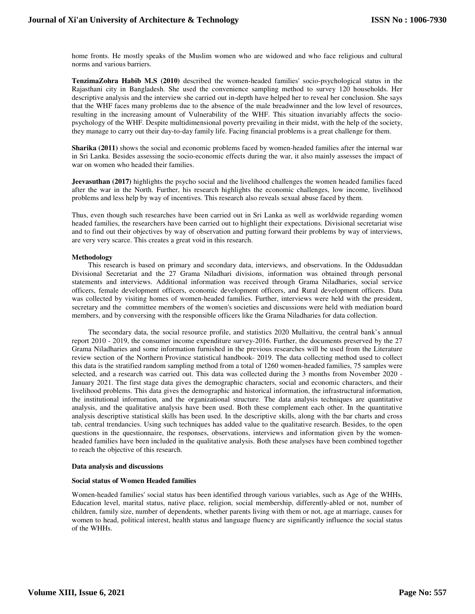home fronts. He mostly speaks of the Muslim women who are widowed and who face religious and cultural norms and various barriers.

**TenzimaZohra Habib M.S (2010)** described the women-headed families' socio-psychological status in the Rajasthani city in Bangladesh. She used the convenience sampling method to survey 120 households. Her descriptive analysis and the interview she carried out in-depth have helped her to reveal her conclusion. She says that the WHF faces many problems due to the absence of the male breadwinner and the low level of resources, resulting in the increasing amount of Vulnerability of the WHF. This situation invariably affects the sociopsychology of the WHF. Despite multidimensional poverty prevailing in their midst, with the help of the society, they manage to carry out their day-to-day family life. Facing financial problems is a great challenge for them.

**Sharika (2011)** shows the social and economic problems faced by women-headed families after the internal war in Sri Lanka. Besides assessing the socio-economic effects during the war, it also mainly assesses the impact of war on women who headed their families.

**Jeevasuthan (2017)** highlights the psycho social and the livelihood challenges the women headed families faced after the war in the North. Further, his research highlights the economic challenges, low income, livelihood problems and less help by way of incentives. This research also reveals sexual abuse faced by them.

Thus, even though such researches have been carried out in Sri Lanka as well as worldwide regarding women headed families, the researchers have been carried out to highlight their expectations. Divisional secretariat wise and to find out their objectives by way of observation and putting forward their problems by way of interviews, are very very scarce. This creates a great void in this research.

#### **Methodology**

 This research is based on primary and secondary data, interviews, and observations. In the Oddusuddan Divisional Secretariat and the 27 Grama Niladhari divisions, information was obtained through personal statements and interviews. Additional information was received through Grama Niladharies, social service officers, female development officers, economic development officers, and Rural development officers. Data was collected by visiting homes of women-headed families. Further, interviews were held with the president, secretary and the committee members of the women's societies and discussions were held with mediation board members, and by conversing with the responsible officers like the Grama Niladharies for data collection.

 The secondary data, the social resource profile, and statistics 2020 Mullaitivu, the central bank's annual report 2010 - 2019, the consumer income expenditure survey-2016. Further, the documents preserved by the 27 Grama Niladharies and some information furnished in the previous researches will be used from the Literature review section of the Northern Province statistical handbook- 2019. The data collecting method used to collect this data is the stratified random sampling method from a total of 1260 women-headed families, 75 samples were selected, and a research was carried out. This data was collected during the 3 months from November 2020 - January 2021. The first stage data gives the demographic characters, social and economic characters, and their livelihood problems. This data gives the demographic and historical information, the infrastructural information, the institutional information, and the organizational structure. The data analysis techniques are quantitative analysis, and the qualitative analysis have been used. Both these complement each other. In the quantitative analysis descriptive statistical skills has been used. In the descriptive skills, along with the bar charts and cross tab, central trendancies. Using such techniques has added value to the qualitative research. Besides, to the open questions in the questionnaire, the responses, observations, interviews and information given by the womenheaded families have been included in the qualitative analysis. Both these analyses have been combined together to reach the objective of this research.

#### **Data analysis and discussions**

#### **Social status of Women Headed families**

Women-headed families' social status has been identified through various variables, such as Age of the WHHs, Education level, marital status, native place, religion, social membership, differently-abled or not, number of children, family size, number of dependents, whether parents living with them or not, age at marriage, causes for women to head, political interest, health status and language fluency are significantly influence the social status of the WHHs.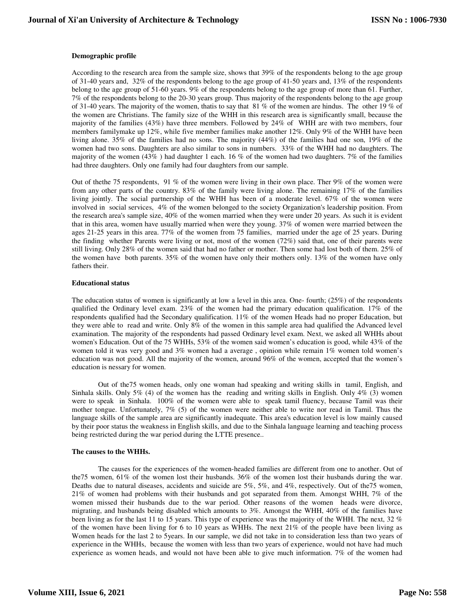# **Demographic profile**

According to the research area from the sample size, shows that 39% of the respondents belong to the age group of 31-40 years and, 32% of the respondents belong to the age group of 41-50 years and, 13% of the respondents belong to the age group of 51-60 years. 9% of the respondents belong to the age group of more than 61. Further, 7% of the respondents belong to the 20-30 years group. Thus majority of the respondents belong to the age group of 31-40 years. The majority of the women, thatis to say that 81 % of the women are hindus. The other 19 % of the women are Christians. The family size of the WHH in this research area is significantly small, because the majority of the families (43%) have three members. Followed by 24% of WHH are with two members, four members familymake up 12%, while five member families make another 12%. Only 9% of the WHH have been living alone. 35% of the families had no sons. The majority (44%) of the families had one son, 19% of the women had two sons. Daughters are also similar to sons in numbers. 33% of the WHH had no daughters. The majority of the women  $(43\%)$  had daughter 1 each. 16 % of the women had two daughters. 7% of the families had three daughters. Only one family had four daughters from our sample.

Out of thethe 75 respondents, 91 % of the women were living in their own place. Ther 9% of the women were from any other parts of the country. 83% of the family were living alone. The remaining 17% of the families living jointly. The social partnership of the WHH has been of a moderate level. 67% of the women were involved in social services, 4% of the women belonged to the society Organization's leadership position. From the research area's sample size, 40% of the women married when they were under 20 years. As such it is evident that in this area, women have usually married when were they young. 37% of women were married between the ages 21-25 years in this area. 77% of the women from 75 families, married under the age of 25 years. During the finding whether Parents were living or not, most of the women (72%) said that, one of their parents were still living. Only 28% of the women said that had no father or mother. Then some had lost both of them. 25% of the women have both parents. 35% of the women have only their mothers only. 13% of the women have only fathers their.

## **Educational status**

The education status of women is significantly at low a level in this area. One- fourth;  $(25%)$  of the respondents qualified the Ordinary level exam. 23% of the women had the primary education qualification. 17% of the respondents qualified had the Secondary qualification. 11% of the women Heads had no proper Education, but they were able to read and write. Only 8% of the women in this sample area had qualified the Advanced level examination. The majority of the respondents had passed Ordinary level exam. Next, we asked all WHHs about women's Education. Out of the 75 WHHs, 53% of the women said women's education is good, while 43% of the women told it was very good and 3% women had a average , opinion while remain 1% women told women's education was not good. All the majority of the women, around 96% of the women, accepted that the women's education is nessary for women.

Out of the75 women heads, only one woman had speaking and writing skills in tamil, English, and Sinhala skills. Only 5% (4) of the women has the reading and writing skills in English. Only 4% (3) women were to speak in Sinhala. 100% of the women were able to speak tamil fluency, because Tamil was their mother tongue. Unfortunately, 7% (5) of the women were neither able to write nor read in Tamil. Thus the language skills of the sample area are significantly inadequate. This area's education level is low mainly caused by their poor status the weakness in English skills, and due to the Sinhala language learning and teaching process being restricted during the war period during the LTTE presence..

## **The causes to the WHHs.**

The causes for the experiences of the women-headed families are different from one to another. Out of the75 women, 61% of the women lost their husbands. 36% of the women lost their husbands during the war. Deaths due to natural diseases, accidents and suicide are 5%, 5%, and 4%, respectively. Out of the75 women, 21% of women had problems with their husbands and got separated from them. Amongst WHH, 7% of the women missed their husbands due to the war period. Other reasons of the women heads were divorce, migrating, and husbands being disabled which amounts to 3%. Amongst the WHH, 40% of the families have been living as for the last 11 to 15 years. This type of experience was the majority of the WHH. The next, 32 % of the women have been living for 6 to 10 years as WHHs. The next 21% of the people have been living as Women heads for the last 2 to 5years. In our sample, we did not take in to consideration less than two years of experience in the WHHs, because the women with less than two years of experience, would not have had much experience as women heads, and would not have been able to give much information. 7% of the women had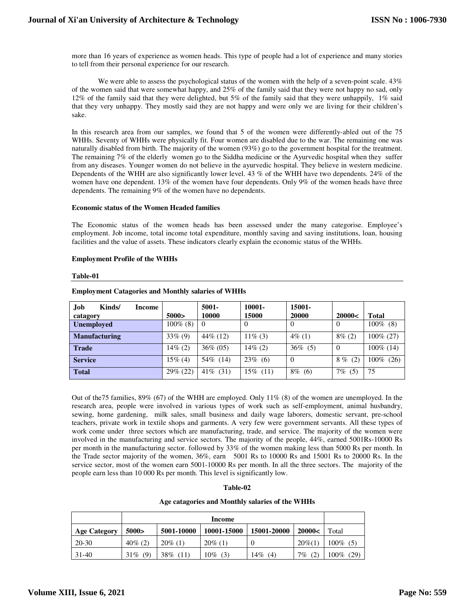more than 16 years of experience as women heads. This type of people had a lot of experience and many stories to tell from their personal experience for our research.

We were able to assess the psychological status of the women with the help of a seven-point scale. 43% of the women said that were somewhat happy, and 25% of the family said that they were not happy no sad, only 12% of the family said that they were delighted, but 5% of the family said that they were unhappily, 1% said that they very unhappy. They mostly said they are not happy and were only we are living for their children's sake.

In this research area from our samples, we found that 5 of the women were differently-abled out of the 75 WHHs. Seventy of WHHs were physically fit. Four women are disabled due to the war. The remaining one was naturally disabled from birth. The majority of the women (93%) go to the government hospital for the treatment. The remaining 7% of the elderly women go to the Siddha medicine or the Ayurvedic hospital when they suffer from any diseases. Younger women do not believe in the ayurvedic hospital. They believe in western medicine. Dependents of the WHH are also significantly lower level. 43 % of the WHH have two dependents. 24% of the women have one dependent. 13% of the women have four dependents. Only 9% of the women heads have three dependents. The remaining 9% of the women have no dependents.

## **Economic status of the Women Headed families**

The Economic status of the women heads has been assessed under the many categorise. Employee's employment. Job income, total income total expenditure, monthly saving and saving institutions, loan, housing facilities and the value of assets. These indicators clearly explain the economic status of the WHHs.

## **Employment Profile of the WHHs**

## **Table-01**

| <b>Job</b><br>Kinds/<br>catagory | Income | 5000>       | $5001 -$<br>10000 | 10001-<br>15000 | 15001-<br>20000 | 20000<       | Total           |
|----------------------------------|--------|-------------|-------------------|-----------------|-----------------|--------------|-----------------|
| <b>Unemployed</b>                |        | $100\%$ (8) | $\theta$          | $\theta$        | $\theta$        | $\Omega$     | $100\%$ (8)     |
| <b>Manufacturing</b>             |        | $33\%$ (9)  | $44\%$ (12)       | $11\%$ (3)      | $4\%$ (1)       | $8\%$ (2)    | 100% (27)       |
| <b>Trade</b>                     |        | $14\%$ (2)  | $36\% (05)$       | $14\%$ (2)      | $36\%$ (5)      | $\theta$     | $100\%$ (14)    |
| <b>Service</b>                   |        | $15\%$ (4)  | 54\% (14)         | $23\%$ (6)      | $\theta$        | 8%<br>(2)    | $100\%$<br>(26) |
| <b>Total</b>                     |        | 29% (22)    | $41\%$ (31)       | $15\%$ (11)     | $8\%$ (6)       | $7\%$<br>(5) | 75              |

# **Employment Catagories and Monthly salaries of WHHs**

Out of the75 families, 89% (67) of the WHH are employed. Only 11% (8) of the women are unemployed. In the research area, people were involved in various types of work such as self-employment, animal husbandry, sewing, home gardening, milk sales, small business and daily wage laborers, domestic servant, pre-school teachers, private work in textile shops and garments. A very few were government servants. All these types of work come under three sectors which are manufacturing, trade, and service. The majority of the women were involved in the manufacturing and service sectors. The majority of the people, 44%, earned 5001Rs-10000 Rs per month in the manufacturing sector. followed by 33% of the women making less than 5000 Rs per month. In the Trade sector majority of the women, 36%, earn 5001 Rs to 10000 Rs and 15001 Rs to 20000 Rs. In the service sector, most of the women earn 5001-10000 Rs per month. In all the three sectors. The majority of the people earn less than 10 000 Rs per month. This level is significantly low.

#### **Table-02**

#### **Age catagories and Monthly salaries of the WHHs**

|                     |               | Income     |             |                |              |                 |  |
|---------------------|---------------|------------|-------------|----------------|--------------|-----------------|--|
| <b>Age Category</b> | 5000>         | 5001-10000 | 10001-15000 | 15001-20000    | 20000<       | Total           |  |
| 20-30               | $40\%$ (2)    | $20\%$ (1) | $20\%$ (1)  | $\overline{0}$ | $20\%$ (1)   | $100\%$<br>(5)  |  |
| $31-40$             | (9)<br>$31\%$ | 38\% (11)  | $10\%$ (3)  | $14\%$ (4)     | (2)<br>$7\%$ | $100\%$<br>(29) |  |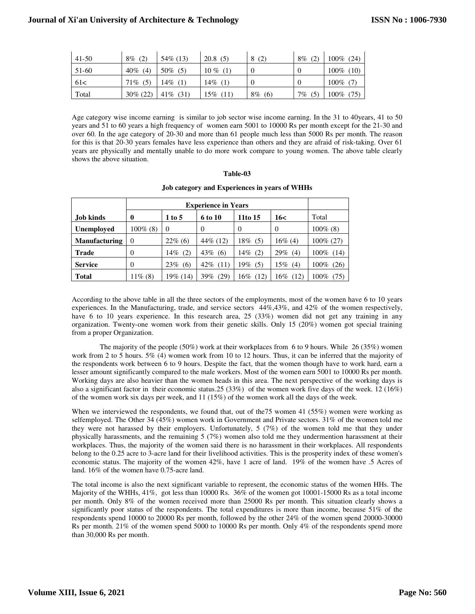| $41 - 50$ | (2)<br>8%   | $54\%$ (13) | 20.8<br>(5) | (2)       | 8%<br>(2)     | $100\%$ (24)    |
|-----------|-------------|-------------|-------------|-----------|---------------|-----------------|
| 51-60     | 40%<br>(4)  | $50\%$ (5)  | $10\%$      |           |               | $100\%$ (10)    |
| 61<       | (5)<br>71%  | $14\%$ (1)  | 14%<br>(1)  |           |               | $100\%$ (7)     |
| Total     | $30\% (22)$ | 41\% $(31)$ | 15%<br>(11) | 8%<br>(6) | 7 $\%$<br>(5) | (75)<br>$100\%$ |

Age category wise income earning is similar to job sector wise income earning. In the 31 to 40years, 41 to 50 years and 51 to 60 years a high frequency of women earn 5001 to 10000 Rs per month except for the 21-30 and over 60. In the age category of 20-30 and more than 61 people much less than 5000 Rs per month. The reason for this is that 20-30 years females have less experience than others and they are afraid of risk-taking. Over 61 years are physically and mentally unable to do more work compare to young women. The above table clearly shows the above situation.

# **Table-03**

**Job category and Experiences in years of WHHs** 

|                      |              | <b>Experience in Years</b>          |             |             |             |                 |  |  |
|----------------------|--------------|-------------------------------------|-------------|-------------|-------------|-----------------|--|--|
| Job kinds            | $\mathbf{0}$ | 11to 15<br>16<<br>1 to 5<br>6 to 10 |             |             |             |                 |  |  |
| <b>Unemployed</b>    | $100\%$ (8)  | $\Omega$                            |             | $\Omega$    | $\theta$    | $100\%$ (8)     |  |  |
| <b>Manufacturing</b> | $\theta$     | $22\%$ (6)                          | $44\%$ (12) | $18\%$ (5)  | $16\%$ (4)  | $100\% (27)$    |  |  |
| <b>Trade</b>         | $\theta$     | 14%<br>(2)                          | 43%<br>(6)  | 14%<br>(2)  | 29%<br>(4)  | $100\%$<br>(14) |  |  |
| <b>Service</b>       | $\Omega$     | 23%<br>(6)                          | $42\%$ (11) | $19\%$ (5)  | 15%<br>(4)  | $100\%$<br>(26) |  |  |
| <b>Total</b>         | $11\%$ (8)   | 19% (14)                            | (29)<br>39% | 16%<br>(12) | 16%<br>(12) | $100\%$<br>(75) |  |  |

According to the above table in all the three sectors of the employments, most of the women have 6 to 10 years experiences. In the Manufacturing, trade, and service sectors 44%,43%, and 42% of the women respectively, have 6 to 10 years experience. In this research area, 25 (33%) women did not get any training in any organization. Twenty-one women work from their genetic skills. Only 15 (20%) women got special training from a proper Organization.

 The majority of the people (50%) work at their workplaces from 6 to 9 hours. While 26 (35%) women work from 2 to 5 hours. 5% (4) women work from 10 to 12 hours. Thus, it can be inferred that the majority of the respondents work between 6 to 9 hours. Despite the fact, that the women though have to work hard, earn a lesser amount significantly compared to the male workers. Most of the women earn 5001 to 10000 Rs per month. Working days are also heavier than the women heads in this area. The next perspective of the working days is also a significant factor in their economic status.25 (33%) of the women work five days of the week. 12 (16%) of the women work six days per week, and 11 (15%) of the women work all the days of the week.

When we interviewed the respondents, we found that, out of the 75 women 41 (55%) women were working as selfemployed. The Other 34 (45%) women work in Government and Private sectors. 31% of the women told me they were not harassed by their employers. Unfortunately, 5 (7%) of the women told me that they under physically harassments, and the remaining 5 (7%) women also told me they undermention harassment at their workplaces. Thus, the majority of the women said there is no harassment in their workplaces. All respondents belong to the 0.25 acre to 3-acre land for their livelihood activities. This is the prosperity index of these women's economic status. The majority of the women 42%, have 1 acre of land. 19% of the women have .5 Acres of land. 16% of the women have 0.75-acre land.

The total income is also the next significant variable to represent, the economic status of the women HHs. The Majority of the WHHs, 41%, got less than 10000 Rs. 36% of the women got 10001-15000 Rs as a total income per month. Only 8% of the women received more than 25000 Rs per month. This situation clearly shows a significantly poor status of the respondents. The total expenditures is more than income, because 51% of the respondents spend 10000 to 20000 Rs per month, followed by the other 24% of the women spend 20000-30000 Rs per month. 21% of the women spend 5000 to 10000 Rs per month. Only 4% of the respondents spend more than 30,000 Rs per month.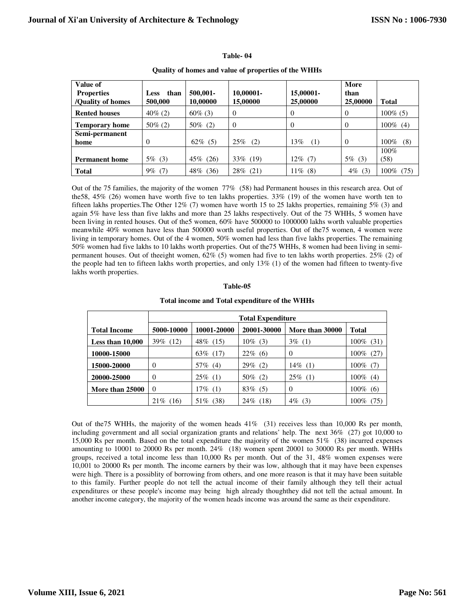| Value of<br><b>Properties</b><br>/Quality of homes | than<br><b>Less</b><br>500,000 | 500,001-<br>10.00000 | 10.00001-<br>15,00000 | 15,00001-<br>25,00000 | More<br>than<br>25,00000 | <b>Total</b>    |
|----------------------------------------------------|--------------------------------|----------------------|-----------------------|-----------------------|--------------------------|-----------------|
| <b>Rented houses</b>                               | $40\%$ (2)                     | $60\%$ (3)           | $\mathbf{0}$          | $\theta$              | $\theta$                 | $100\%$ (5)     |
| <b>Temporary home</b>                              | $50\%$ (2)                     | $50\%$ (2)           | $\Omega$              | 0                     | $\Omega$                 | $100\%$ (4)     |
| Semi-permanent<br>home                             | $\theta$                       | $62\%$ (5)           | 25%<br>(2)            | 13%<br>(1)            | $\Omega$                 | (8)<br>100%     |
| <b>Permanent home</b>                              | $5\%$ (3)                      | 45\% (26)            | $33\%$ (19)           | 12% (7)               | $5\%$ (3)                | $100\%$<br>(58) |
| <b>Total</b>                                       | (7)<br>9%                      | (36)<br>48%          | (21)<br>28%           | (8)<br>$11\%$         | 4%<br>(3)                | $100\%$<br>(75) |

**Table- 04** 

**Quality of homes and value of properties of the WHHs** 

Out of the 75 families, the majority of the women 77% (58) had Permanent houses in this research area. Out of the58, 45% (26) women have worth five to ten lakhs properties. 33% (19) of the women have worth ten to fifteen lakhs properties.The Other 12% (7) women have worth 15 to 25 lakhs properties, remaining 5% (3) and again 5% have less than five lakhs and more than 25 lakhs respectively. Out of the 75 WHHs, 5 women have been living in rented houses. Out of the5 women, 60% have 500000 to 1000000 lakhs worth valuable properties meanwhile 40% women have less than 500000 worth useful properties. Out of the75 women, 4 women were living in temporary homes. Out of the 4 women, 50% women had less than five lakhs properties. The remaining 50% women had five lakhs to 10 lakhs worth properties. Out of the75 WHHs, 8 women had been living in semipermanent houses. Out of theeight women, 62% (5) women had five to ten lakhs worth properties. 25% (2) of the people had ten to fifteen lakhs worth properties, and only 13% (1) of the women had fifteen to twenty-five lakhs worth properties.

# **Table-05**

|                     | <b>Total Expenditure</b> |             |             |                 |                 |  |  |  |
|---------------------|--------------------------|-------------|-------------|-----------------|-----------------|--|--|--|
| <b>Total Income</b> | 5000-10000               | 10001-20000 | 20001-30000 | More than 30000 | <b>Total</b>    |  |  |  |
| Less than 10,000    | 39\% (12)                | 48\% (15)   | $10\%$ (3)  | $3\%$ (1)       | $100\%$ (31)    |  |  |  |
| 10000-15000         |                          | 63\% (17)   | $22\%$ (6)  | $\Omega$        | (27)<br>100%    |  |  |  |
| 15000-20000         | $\theta$                 | $57\%$ (4)  | $29\%$ (2)  | $14\%$ (1)      | $100\%$ (7)     |  |  |  |
| 20000-25000         | $\Omega$                 | $25\%$ (1)  | $50\%$ (2)  | $25\%$ (1)      | $100\%$ (4)     |  |  |  |
| More than 25000     | $\Omega$                 | $17\%$ (1)  | $83\%$ (5)  | $\Omega$        | $100\%$ (6)     |  |  |  |
|                     | 21%<br>(16)              | 51\% (38)   | $24\%$ (18) | $4\%$ (3)       | $100\%$<br>(75) |  |  |  |

#### **Total income and Total expenditure of the WHHs**

Out of the75 WHHs, the majority of the women heads 41% (31) receives less than 10,000 Rs per month, including government and all social organization grants and relations' help. The next 36% (27) got 10,000 to 15,000 Rs per month. Based on the total expenditure the majority of the women 51% (38) incurred expenses amounting to 10001 to 20000 Rs per month. 24% (18) women spent 20001 to 30000 Rs per month. WHHs groups, received a total income less than 10,000 Rs per month. Out of the 31, 48% women expenses were 10,001 to 20000 Rs per month. The income earners by their was low, although that it may have been expenses were high. There is a possiblity of borrowing from others, and one more reason is that it may have been suitable to this family. Further people do not tell the actual income of their family although they tell their actual expenditures or these people's income may being high already thoughthey did not tell the actual amount. In another income category, the majority of the women heads income was around the same as their expenditure.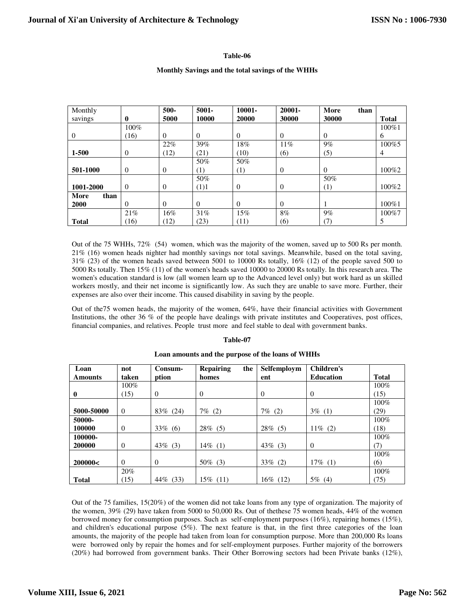# **Table-06**

# **Monthly Savings and the total savings of the WHHs**

| Monthly      |                | 500-     | $5001 -$ | $10001 -$        | 20001-   | More<br>than |              |
|--------------|----------------|----------|----------|------------------|----------|--------------|--------------|
| savings      | 0              | 5000     | 10000    | 20000            | 30000    | 30000        | <b>Total</b> |
|              | $100\%$        |          |          |                  |          |              | 100%1        |
| $\theta$     | (16)           | $\Omega$ | $\theta$ | $\Omega$         | $\Omega$ | $\theta$     | 6            |
|              |                | 22%      | 39%      | 18%              | 11%      | 9%           | 100%5        |
| 1-500        | $\theta$       | (12)     | (21)     | (10)             | (6)      | (5)          | 4            |
|              |                |          | 50%      | 50%              |          |              |              |
| 501-1000     | $\overline{0}$ | $\theta$ | (1)      | $\left(1\right)$ | $\Omega$ | $\theta$     | 100%2        |
|              |                |          | 50%      |                  |          | 50%          |              |
| 1001-2000    | $\Omega$       | $\Omega$ | (1)1     | $\Omega$         | $\Omega$ | (1)          | 100\%2       |
| More<br>than |                |          |          |                  |          |              |              |
| 2000         | $\theta$       | $\Omega$ | $\Omega$ | $\Omega$         | $\Omega$ |              | 100%1        |
|              | 21%            | 16%      | 31%      | 15%              | 8%       | 9%           | 100%7        |
| <b>Total</b> | (16)           | (12)     | (23)     | (11)             | (6)      | (7)          | 5            |

Out of the 75 WHHs, 72% (54) women, which was the majority of the women, saved up to 500 Rs per month. 21% (16) women heads nighter had monthly savings nor total savings. Meanwhile, based on the total saving, 31% (23) of the women heads saved between 5001 to 10000 Rs totally, 16% (12) of the people saved 500 to 5000 Rs totally. Then 15% (11) of the women's heads saved 10000 to 20000 Rs totally. In this research area. The women's education standard is low (all women learn up to the Advanced level only) but work hard as un skilled workers mostly, and their net income is significantly low. As such they are unable to save more. Further, their expenses are also over their income. This caused disability in saving by the people.

Out of the75 women heads, the majority of the women, 64%, have their financial activities with Government Institutions, the other 36 % of the people have dealings with private institutes and Cooperatives, post offices, financial companies, and relatives. People trust more and feel stable to deal with government banks.

#### **Table-07**

| Loan           | not      | Consum-     | <b>Repairing</b><br>the | Selfemploym    | <b>Children's</b> |              |
|----------------|----------|-------------|-------------------------|----------------|-------------------|--------------|
| <b>Amounts</b> | taken    | ption       | homes                   | ent            | <b>Education</b>  | <b>Total</b> |
|                | 100%     |             |                         |                |                   | 100%         |
| $\mathbf{0}$   | (15)     | $\Omega$    | $\theta$                | $\Omega$       | $\Omega$          | (15)         |
|                |          |             |                         |                |                   | 100%         |
| 5000-50000     | $\Omega$ | (24)<br>83% | $7\%$<br>(2)            | $7\%$<br>(2)   | $3\%$ (1)         | (29)         |
| 50000-         |          |             |                         |                |                   | 100%         |
| 100000         | $\Omega$ | $33\%$ (6)  | 28%<br>(5)              | 28%<br>(5)     | $11\%$<br>(2)     | (18)         |
| 100000-        |          |             |                         |                |                   | 100%         |
| 200000         | $\Omega$ | 43%<br>(3)  | $14\%$ (1)              | $43\%$ (3)     | $\theta$          | (7)          |
|                |          |             |                         |                |                   | 100%         |
| 200000<        | $\Omega$ | $\Omega$    | 50%<br>(3)              | 33%<br>(2)     | $17\%$ (1)        | (6)          |
|                | 20%      |             |                         |                |                   | 100%         |
| <b>Total</b>   | (15)     | 44%<br>(33) | $15\%$ (11)             | $16\%$<br>(12) | $5\%$ (4)         | (75)         |

#### **Loan amounts and the purpose of the loans of WHHs**

Out of the 75 families, 15(20%) of the women did not take loans from any type of organization. The majority of the women, 39% (29) have taken from 5000 to 50,000 Rs. Out of thethese 75 women heads, 44% of the women borrowed money for consumption purposes. Such as self-employment purposes (16%), repairing homes (15%), and children's educational purpose (5%). The next feature is that, in the first three categories of the loan amounts, the majority of the people had taken from loan for consumption purpose. More than 200,000 Rs loans were borrowed only by repair the homes and for self-employment purposes. Further majority of the borrowers (20%) had borrowed from government banks. Their Other Borrowing sectors had been Private banks (12%),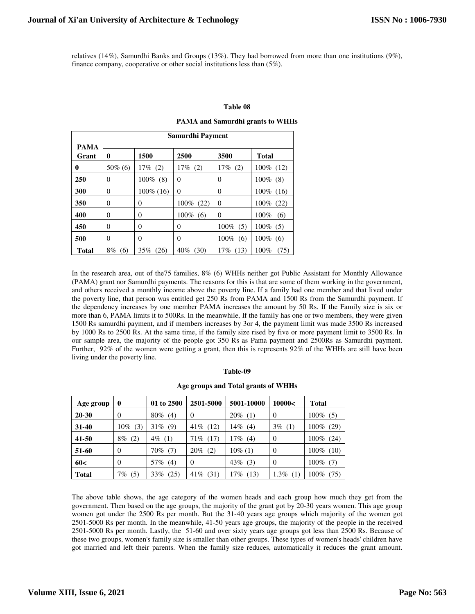relatives (14%), Samurdhi Banks and Groups (13%). They had borrowed from more than one institutions (9%), finance company, cooperative or other social institutions less than (5%).

## **Table 08**

# **PAMA and Samurdhi grants to WHHs**

|                      | Samurdhi Payment |                |             |                |                |  |  |  |
|----------------------|------------------|----------------|-------------|----------------|----------------|--|--|--|
| <b>PAMA</b><br>Grant | $\bf{0}$         | 1500           | 2500        | 3500           | <b>Total</b>   |  |  |  |
| 0                    | $50\%$ (6)       | $17\%$ (2)     | $17\%$ (2)  | $17\%$ (2)     | 100% (12)      |  |  |  |
| 250                  | 0                | $100\%$ (8)    | $\theta$    | $\theta$       | $100\%$ (8)    |  |  |  |
| 300                  | $\theta$         | $100\%$ (16)   | $\theta$    | $\Omega$       | $100\%$ (16)   |  |  |  |
| 350                  | $\Omega$         | $\overline{0}$ | 100% (22)   | $\Omega$       | $100\%$ (22)   |  |  |  |
| 400                  | $\Omega$         | $\theta$       | $100\%$ (6) | $\Omega$       | 100%<br>(6)    |  |  |  |
| 450                  | $\Omega$         | $\theta$       | $\theta$    | $100\%$ (5)    | $100\%$ (5)    |  |  |  |
| 500                  | $\theta$         | $\overline{0}$ | $\theta$    | $100\%$<br>(6) | $100\%$<br>(6) |  |  |  |
| <b>Total</b>         | $8\%$ (6)        | 35%<br>(26)    | $40\%$ (30) | $17\%$ (13)    | 100%<br>(75)   |  |  |  |

In the research area, out of the75 families, 8% (6) WHHs neither got Public Assistant for Monthly Allowance (PAMA) grant nor Samurdhi payments. The reasons for this is that are some of them working in the government, and others received a monthly income above the poverty line. If a family had one member and that lived under the poverty line, that person was entitled get 250 Rs from PAMA and 1500 Rs from the Samurdhi payment. If the dependency increases by one member PAMA increases the amount by 50 Rs. If the Family size is six or more than 6, PAMA limits it to 500Rs. In the meanwhile, If the family has one or two members, they were given 1500 Rs samurdhi payment, and if members increases by 3or 4, the payment limit was made 3500 Rs increased by 1000 Rs to 2500 Rs. At the same time, if the family size rised by five or more payment limit to 3500 Rs. In our sample area, the majority of the people got 350 Rs as Pama payment and 2500Rs as Samurdhi payment. Further, 92% of the women were getting a grant, then this is represents 92% of the WHHs are still have been living under the poverty line.

#### **Table-09**

#### **Age groups and Total grants of WHHs**

| Age group    | $\bf{0}$      | 01 to 2500    | 2501-5000      | 5001-10000  | 10000<         | <b>Total</b>    |
|--------------|---------------|---------------|----------------|-------------|----------------|-----------------|
| $20 - 30$    | 0             | $80\%$<br>(4) | $\overline{0}$ | $20\%$ (1)  | $\Omega$       | $100\%$ (5)     |
| $31 - 40$    | (3)<br>$10\%$ | $31\%$ (9)    | $41\%$ (12)    | 14%<br>(4)  | $3\%$<br>(1)   | (29)<br>$100\%$ |
| 41-50        | $8\%$ (2)     | $4\%$ (1)     | $71\%$ (17)    | $17\%$ (4)  | $\Omega$       | $100\%$<br>(24) |
| 51-60        | $\Omega$      | $70\%$ (7)    | $20\%$ (2)     | $10\%$ (1)  | $\Omega$       | $100\%$<br>(10) |
| 60<          | $\Omega$      | 57%<br>(4)    | $\Omega$       | $43\%$ (3)  | $\Omega$       | $100\%$<br>(7)  |
| <b>Total</b> | $7\%$ (5)     | 33%<br>(25)   | $41\%$ (31)    | 17%<br>(13) | $1.3\%$<br>(1) | $100\%$<br>(75) |

The above table shows, the age category of the women heads and each group how much they get from the government. Then based on the age groups, the majority of the grant got by 20-30 years women. This age group women got under the 2500 Rs per month. But the 31-40 years age groups which majority of the women got 2501-5000 Rs per month. In the meanwhile, 41-50 years age groups, the majority of the people in the received 2501-5000 Rs per month. Lastly, the 51-60 and over sixty years age groups got less than 2500 Rs. Because of these two groups, women's family size is smaller than other groups. These types of women's heads' children have got married and left their parents. When the family size reduces, automatically it reduces the grant amount.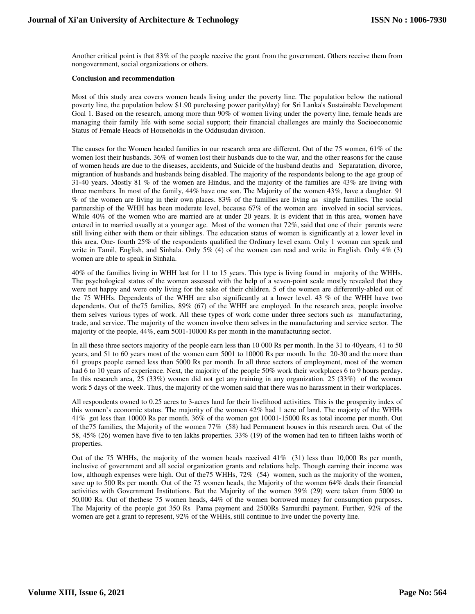Another critical point is that 83% of the people receive the grant from the government. Others receive them from nongovernment, social organizations or others.

## **Conclusion and recommendation**

Most of this study area covers women heads living under the poverty line. The population below the national poverty line, the population below \$1.90 purchasing power parity/day) for Sri Lanka's Sustainable Development Goal 1. Based on the research, among more than 90% of women living under the poverty line, female heads are managing their family life with some social support; their financial challenges are mainly the Socioeconomic Status of Female Heads of Households in the Oddusudan division.

The causes for the Women headed families in our research area are different. Out of the 75 women, 61% of the women lost their husbands. 36% of women lost their husbands due to the war, and the other reasons for the cause of women heads are due to the diseases, accidents, and Suicide of the husband deaths and Separatation, divorce, migrantion of husbands and husbands being disabled. The majority of the respondents belong to the age group of 31-40 years. Mostly 81 % of the women are Hindus, and the majority of the families are 43% are living with three members. In most of the family, 44% have one son. The Majority of the women 43%, have a daughter. 91 % of the women are living in their own places. 83% of the families are living as single families. The social partnership of the WHH has been moderate level, because 67% of the women are involved in social services. While  $40\%$  of the women who are married are at under 20 years. It is evident that in this area, women have entered in to married usually at a younger age. Most of the women that 72%, said that one of their parents were still living either with them or their siblings. The education status of women is significantly at a lower level in this area. One- fourth 25% of the respondents qualified the Ordinary level exam. Only 1 woman can speak and write in Tamil, English, and Sinhala. Only 5% (4) of the women can read and write in English. Only 4% (3) women are able to speak in Sinhala.

40% of the families living in WHH last for 11 to 15 years. This type is living found in majority of the WHHs. The psychological status of the women assessed with the help of a seven-point scale mostly revealed that they were not happy and were only living for the sake of their children. 5 of the women are differently-abled out of the 75 WHHs. Dependents of the WHH are also significantly at a lower level. 43 % of the WHH have two dependents. Out of the75 families, 89% (67) of the WHH are employed. In the research area, people involve them selves various types of work. All these types of work come under three sectors such as manufacturing, trade, and service. The majority of the women involve them selves in the manufacturing and service sector. The majority of the people, 44%, earn 5001-10000 Rs per month in the manufacturing sector.

In all these three sectors majority of the people earn less than 10 000 Rs per month. In the 31 to 40 years, 41 to 50 years, and 51 to 60 years most of the women earn 5001 to 10000 Rs per month. In the 20-30 and the more than 61 groups people earned less than 5000 Rs per month. In all three sectors of employment, most of the women had 6 to 10 years of experience. Next, the majority of the people 50% work their workplaces 6 to 9 hours perday. In this research area, 25 (33%) women did not get any training in any organization. 25 (33%) of the women work 5 days of the week. Thus, the majority of the women said that there was no harassment in their workplaces.

All respondents owned to 0.25 acres to 3-acres land for their livelihood activities. This is the prosperity index of this women's economic status. The majority of the women 42% had 1 acre of land. The majorty of the WHHs 41% got less than 10000 Rs per month. 36% of the women got 10001-15000 Rs as total income per month. Out of the75 families, the Majority of the women 77% (58) had Permanent houses in this research area. Out of the 58, 45% (26) women have five to ten lakhs properties. 33% (19) of the women had ten to fifteen lakhs worth of properties.

Out of the 75 WHHs, the majority of the women heads received 41% (31) less than 10,000 Rs per month, inclusive of government and all social organization grants and relations help. Though earning their income was low, although expenses were high. Out of the75 WHHs, 72% (54) women, such as the majority of the women, save up to 500 Rs per month. Out of the 75 women heads, the Majority of the women 64% deals their financial activities with Government Institutions. But the Majority of the women 39% (29) were taken from 5000 to 50,000 Rs. Out of thethese 75 women heads, 44% of the women borrowed money for consumption purposes. The Majority of the people got 350 Rs Pama payment and 2500Rs Samurdhi payment. Further, 92% of the women are get a grant to represent, 92% of the WHHs, still continue to live under the poverty line.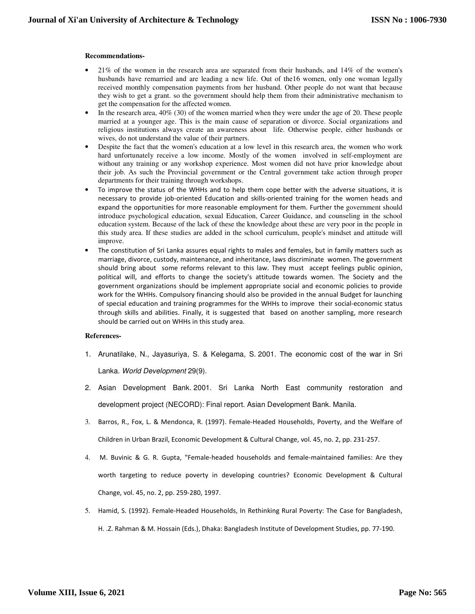# **Recommendations-**

- 21% of the women in the research area are separated from their husbands, and 14% of the women's husbands have remarried and are leading a new life. Out of the16 women, only one woman legally received monthly compensation payments from her husband. Other people do not want that because they wish to get a grant. so the government should help them from their administrative mechanism to get the compensation for the affected women.
- In the research area, 40% (30) of the women married when they were under the age of 20. These people married at a younger age. This is the main cause of separation or divorce. Social organizations and religious institutions always create an awareness about life. Otherwise people, either husbands or wives, do not understand the value of their partners.
- Despite the fact that the women's education at a low level in this research area, the women who work hard unfortunately receive a low income. Mostly of the women involved in self-employment are without any training or any workshop experience. Most women did not have prior knowledge about their job. As such the Provincial government or the Central government take action through proper departments for their training through workshops.
- To improve the status of the WHHs and to help them cope better with the adverse situations, it is necessary to provide job-oriented Education and skills-oriented training for the women heads and expand the opportunities for more reasonable employment for them. Further the government should introduce psychological education, sexual Education, Career Guidance, and counseling in the school education system. Because of the lack of these the knowledge about these are very poor in the people in this study area. If these studies are added in the school curriculum, people's mindset and attitude will improve.
- The constitution of Sri Lanka assures equal rights to males and females, but in family matters such as marriage, divorce, custody, maintenance, and inheritance, laws discriminate women. The government should bring about some reforms relevant to this law. They must accept feelings public opinion, political will, and efforts to change the society's attitude towards women. The Society and the government organizations should be implement appropriate social and economic policies to provide work for the WHHs. Compulsory financing should also be provided in the annual Budget for launching of special education and training programmes for the WHHs to improve their social-economic status through skills and abilities. Finally, it is suggested that based on another sampling, more research should be carried out on WHHs in this study area.

## **References-**

- 1. Arunatilake, N., Jayasuriya, S. & Kelegama, S. 2001. The economic cost of the war in Sri Lanka. World Development 29(9).
- 2. Asian Development Bank. 2001. Sri Lanka North East community restoration and development project (NECORD): Final report. Asian Development Bank. Manila.
- 3. Barros, R., Fox, L. & Mendonca, R. (1997). Female-Headed Households, Poverty, and the Welfare of Children in Urban Brazil, Economic Development & Cultural Change, vol. 45, no. 2, pp. 231-257.
- 4. M. Buvinic & G. R. Gupta, "Female-headed households and female-maintained families: Are they worth targeting to reduce poverty in developing countries? Economic Development & Cultural Change, vol. 45, no. 2, pp. 259-280, 1997.
- 5. Hamid, S. (1992). Female-Headed Households, In Rethinking Rural Poverty: The Case for Bangladesh, H. .Z. Rahman & M. Hossain (Eds.), Dhaka: Bangladesh Institute of Development Studies, pp. 77-190.